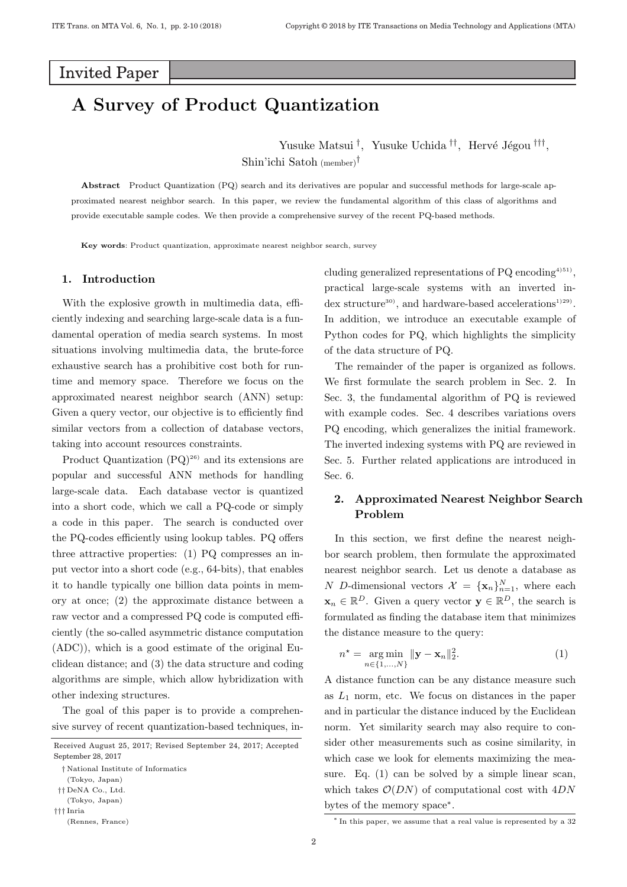# **Invited Paper**

# **A Survey of Product Quantization**

Yusuke Matsui<sup>†</sup>, Yusuke Uchida<sup>††</sup>, Hervé Jégou <sup>†††</sup>, Shin'ichi Satoh (member)†

**Abstract** Product Quantization (PQ) search and its derivatives are popular and successful methods for large-scale approximated nearest neighbor search. In this paper, we review the fundamental algorithm of this class of algorithms and provide executable sample codes. We then provide a comprehensive survey of the recent PQ-based methods.

**Key words**: Product quantization, approximate nearest neighbor search, survey

### **1. Introduction**

With the explosive growth in multimedia data, efficiently indexing and searching large-scale data is a fundamental operation of media search systems. In most situations involving multimedia data, the brute-force exhaustive search has a prohibitive cost both for runtime and memory space. Therefore we focus on the approximated nearest neighbor search (ANN) setup: Given a query vector, our objective is to efficiently find similar vectors from a collection of database vectors, taking into account resources constraints.

Product Quantization  $(PQ)^{26}$  and its extensions are popular and successful ANN methods for handling large-scale data. Each database vector is quantized into a short code, which we call a PQ-code or simply a code in this paper. The search is conducted over the PQ-codes efficiently using lookup tables. PQ offers three attractive properties: (1) PQ compresses an input vector into a short code (e.g., 64-bits), that enables it to handle typically one billion data points in memory at once; (2) the approximate distance between a raw vector and a compressed PQ code is computed efficiently (the so-called asymmetric distance computation (ADC)), which is a good estimate of the original Euclidean distance; and (3) the data structure and coding algorithms are simple, which allow hybridization with other indexing structures.

The goal of this paper is to provide a comprehensive survey of recent quantization-based techniques, including generalized representations of PQ encoding<sup>4)51)</sup>, practical large-scale systems with an inverted index structure<sup>30</sup>, and hardware-based accelerations<sup>1)29</sup>. In addition, we introduce an executable example of Python codes for PQ, which highlights the simplicity of the data structure of PQ.

The remainder of the paper is organized as follows. We first formulate the search problem in Sec. 2. In Sec. 3, the fundamental algorithm of PQ is reviewed with example codes. Sec. 4 describes variations overs PQ encoding, which generalizes the initial framework. The inverted indexing systems with PQ are reviewed in Sec. 5. Further related applications are introduced in Sec. 6.

### **2. Approximated Nearest Neighbor Search Problem**

In this section, we first define the nearest neighbor search problem, then formulate the approximated nearest neighbor search. Let us denote a database as N D-dimensional vectors  $\mathcal{X} = {\mathbf{x}_n}_{n=1}^N$ , where each  $\mathbf{x}_n \in \mathbb{R}^D$ . Given a query vector  $\mathbf{y} \in \mathbb{R}^D$ , the search is formulated as finding the database item that minimizes the distance measure to the query:

$$
n^* = \underset{n \in \{1, ..., N\}}{\arg \min} ||\mathbf{y} - \mathbf{x}_n||_2^2.
$$
 (1)

A distance function can be any distance measure such as  $L_1$  norm, etc. We focus on distances in the paper and in particular the distance induced by the Euclidean norm. Yet similarity search may also require to consider other measurements such as cosine similarity, in which case we look for elements maximizing the measure. Eq. (1) can be solved by a simple linear scan, which takes  $\mathcal{O}(DN)$  of computational cost with  $4DN$ bytes of the memory space<sup>∗</sup>.

Received August 25, 2017; Revised September 24, 2017; Accepted September 28, 2017

<sup>†</sup> National Institute of Informatics

<sup>(</sup>Tokyo, Japan)

<sup>††</sup> DeNA Co., Ltd.

<sup>(</sup>Tokyo, Japan) ††† Inria

<sup>(</sup>Rennes, France)

<sup>∗</sup> In this paper, we assume that a real value is represented by a 32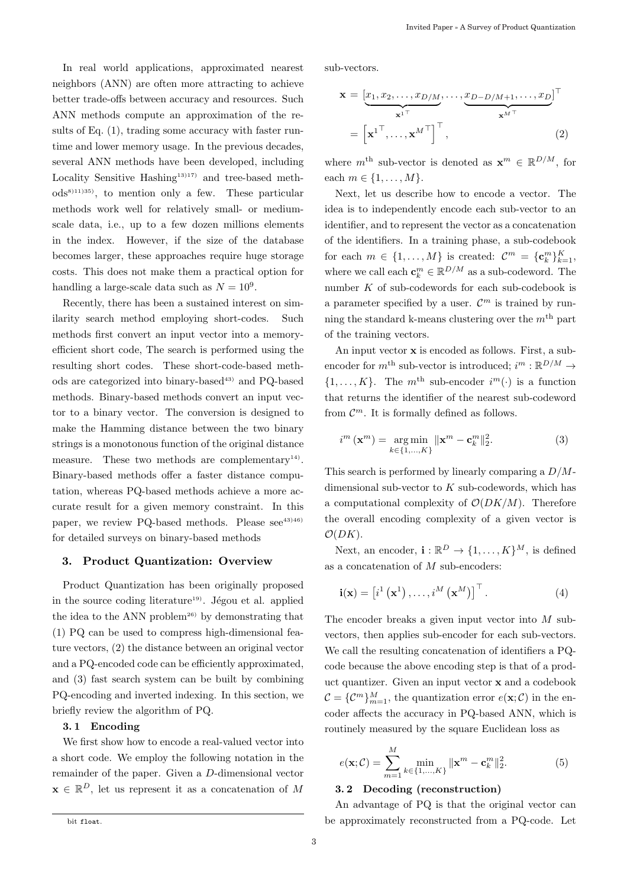In real world applications, approximated nearest neighbors (ANN) are often more attracting to achieve better trade-offs between accuracy and resources. Such ANN methods compute an approximation of the results of Eq. (1), trading some accuracy with faster runtime and lower memory usage. In the previous decades, several ANN methods have been developed, including Locality Sensitive Hashing<sup>13)17)</sup> and tree-based meth $ods<sup>8</sup>$ <sup>11)35</sup>, to mention only a few. These particular methods work well for relatively small- or mediumscale data, i.e., up to a few dozen millions elements in the index. However, if the size of the database becomes larger, these approaches require huge storage costs. This does not make them a practical option for handling a large-scale data such as  $N = 10^9$ .

Recently, there has been a sustained interest on similarity search method employing short-codes. Such methods first convert an input vector into a memoryefficient short code, The search is performed using the resulting short codes. These short-code-based methods are categorized into binary-based<sup>43)</sup> and PQ-based methods. Binary-based methods convert an input vector to a binary vector. The conversion is designed to make the Hamming distance between the two binary strings is a monotonous function of the original distance measure. These two methods are complementary<sup>14)</sup>. Binary-based methods offer a faster distance computation, whereas PQ-based methods achieve a more accurate result for a given memory constraint. In this paper, we review PQ-based methods. Please see<sup>43)46)</sup> for detailed surveys on binary-based methods

### **3. Product Quantization: Overview**

Product Quantization has been originally proposed in the source coding literature<sup>19)</sup>. Jégou et al. applied the idea to the ANN problem<sup>26)</sup> by demonstrating that (1) PQ can be used to compress high-dimensional feature vectors, (2) the distance between an original vector and a PQ-encoded code can be efficiently approximated, and (3) fast search system can be built by combining PQ-encoding and inverted indexing. In this section, we briefly review the algorithm of PQ.

#### **3. 1 Encoding**

We first show how to encode a real-valued vector into a short code. We employ the following notation in the remainder of the paper. Given a D-dimensional vector  $\mathbf{x} \in \mathbb{R}^D$ , let us represent it as a concatenation of M

sub-vectors.

$$
\mathbf{x} = \underbrace{[x_1, x_2, \dots, x_{D/M}}_{\mathbf{x}^{1\top}}, \dots, \underbrace{x_{D-D/M+1}, \dots, x_{D}}_{\mathbf{x}^{M\top}}]^{\top}
$$
\n
$$
= \left[\mathbf{x}^{1\top}, \dots, \mathbf{x}^{M\top}\right]^{\top}, \tag{2}
$$

where  $m^{\text{th}}$  sub-vector is denoted as  $\mathbf{x}^m \in \mathbb{R}^{D/M}$ , for each  $m \in \{1,\ldots,M\}.$ 

Next, let us describe how to encode a vector. The idea is to independently encode each sub-vector to an identifier, and to represent the vector as a concatenation of the identifiers. In a training phase, a sub-codebook for each  $m \in \{1, ..., M\}$  is created:  $\mathcal{C}^m = {\{\mathbf{c}_k^m\}}_{k=1}^K$ , where we call each  $\mathbf{c}_k^m \in \mathbb{R}^{D/M}$  as a sub-codeword. The number  $K$  of sub-codewords for each sub-codebook is a parameter specified by a user.  $\mathcal{C}^m$  is trained by running the standard k-means clustering over the  $m<sup>th</sup>$  part of the training vectors.

An input vector **x** is encoded as follows. First, a subencoder for  $m^{\text{th}}$  sub-vector is introduced;  $i^m : \mathbb{R}^{D/M} \to$  $\{1,\ldots,K\}$ . The  $m^{\text{th}}$  sub-encoder  $i^m(\cdot)$  is a function that returns the identifier of the nearest sub-codeword from  $\mathcal{C}^m$ . It is formally defined as follows.

$$
i^{m}\left(\mathbf{x}^{m}\right) = \underset{k \in \{1,\dots,K\}}{\arg \min} \|\mathbf{x}^{m} - \mathbf{c}_{k}^{m}\|_{2}^{2}.
$$
 (3)

This search is performed by linearly comparing a  $D/M$ dimensional sub-vector to  $K$  sub-codewords, which has a computational complexity of  $\mathcal{O}(DK/M)$ . Therefore the overall encoding complexity of a given vector is  $\mathcal{O}(DK)$ .

Next, an encoder,  $\mathbf{i} : \mathbb{R}^D \to \{1, \ldots, K\}^M$ , is defined as a concatenation of  $M$  sub-encoders:

$$
\mathbf{i}(\mathbf{x}) = \left[i^1\left(\mathbf{x}^1\right), \dots, i^M\left(\mathbf{x}^M\right)\right]^\top. \tag{4}
$$

The encoder breaks a given input vector into M subvectors, then applies sub-encoder for each sub-vectors. We call the resulting concatenation of identifiers a PQcode because the above encoding step is that of a product quantizer. Given an input vector **x** and a codebook  $\mathcal{C} = {\mathcal{C}^m}_{m=1}^M$ , the quantization error  $e(\mathbf{x}; \mathcal{C})$  in the encoder affects the accuracy in PQ-based ANN, which is routinely measured by the square Euclidean loss as

$$
e(\mathbf{x}; \mathcal{C}) = \sum_{m=1}^{M} \min_{k \in \{1, ..., K\}} \|\mathbf{x}^{m} - \mathbf{c}_{k}^{m}\|_{2}^{2}.
$$
 (5)

### **3. 2 Decoding (reconstruction)**

An advantage of PQ is that the original vector can be approximately reconstructed from a PQ-code. Let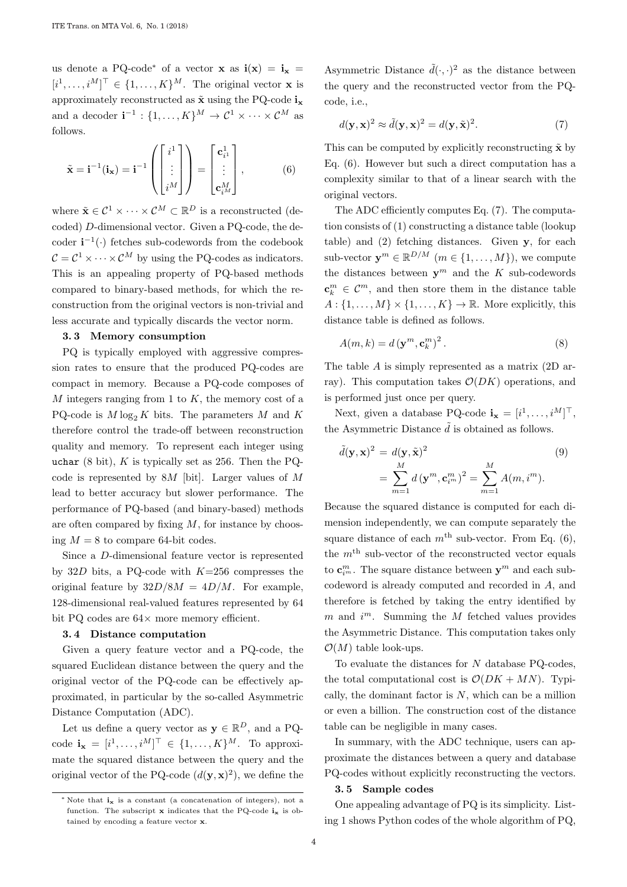us denote a PQ-code<sup>\*</sup> of a vector **x** as  $\mathbf{i}(\mathbf{x}) = \mathbf{i}_{\mathbf{x}} =$  $[i^1, \ldots, i^M]^\top \in \{1, \ldots, K\}^M$ . The original vector **x** is approximately reconstructed as  $\tilde{\mathbf{x}}$  using the PQ-code  $\mathbf{i}_{\mathbf{x}}$ and a decoder  $\mathbf{i}^{-1} : \{1, ..., K\}^M \to \mathcal{C}^1 \times \cdots \times \mathcal{C}^M$  as follows.

$$
\tilde{\mathbf{x}} = \mathbf{i}^{-1}(\mathbf{i}_{\mathbf{x}}) = \mathbf{i}^{-1} \left( \begin{bmatrix} i^1 \\ \vdots \\ i^M \end{bmatrix} \right) = \begin{bmatrix} \mathbf{c}_{i^1}^1 \\ \vdots \\ \mathbf{c}_{i^M}^M \end{bmatrix}, \tag{6}
$$

where  $\tilde{\mathbf{x}} \in \mathcal{C}^1 \times \cdots \times \mathcal{C}^M \subset \mathbb{R}^D$  is a reconstructed (decoded) D-dimensional vector. Given a PQ-code, the decoder  $\mathbf{i}^{-1}(\cdot)$  fetches sub-codewords from the codebook  $C = C^1 \times \cdots \times C^M$  by using the PQ-codes as indicators. This is an appealing property of PQ-based methods compared to binary-based methods, for which the reconstruction from the original vectors is non-trivial and less accurate and typically discards the vector norm.

#### **3. 3 Memory consumption**

PQ is typically employed with aggressive compression rates to ensure that the produced PQ-codes are compact in memory. Because a PQ-code composes of  $M$  integers ranging from 1 to  $K$ , the memory cost of a PQ-code is  $M \log_2 K$  bits. The parameters M and K therefore control the trade-off between reconstruction quality and memory. To represent each integer using uchar  $(8 \text{ bit})$ , K is typically set as 256. Then the PQcode is represented by  $8M$  [bit]. Larger values of M lead to better accuracy but slower performance. The performance of PQ-based (and binary-based) methods are often compared by fixing  $M$ , for instance by choosing  $M = 8$  to compare 64-bit codes.

Since a D-dimensional feature vector is represented by 32D bits, a PQ-code with  $K=256$  compresses the original feature by  $32D/8M = 4D/M$ . For example, 128-dimensional real-valued features represented by 64 bit PQ codes are 64× more memory efficient.

#### **3. 4 Distance computation**

Given a query feature vector and a PQ-code, the squared Euclidean distance between the query and the original vector of the PQ-code can be effectively approximated, in particular by the so-called Asymmetric Distance Computation (ADC).

Let us define a query vector as  $y \in \mathbb{R}^D$ , and a PQcode  $\mathbf{i}_{\mathbf{x}} = [i^1, \ldots, i^M]^\top \in \{1, \ldots, K\}^M$ . To approximate the squared distance between the query and the original vector of the PQ-code  $(d(\mathbf{y}, \mathbf{x})^2)$ , we define the

Asymmetric Distance  $\tilde{d}(\cdot,\cdot)^2$  as the distance between the query and the reconstructed vector from the PQcode, i.e.,

$$
d(\mathbf{y}, \mathbf{x})^2 \approx \tilde{d}(\mathbf{y}, \mathbf{x})^2 = d(\mathbf{y}, \tilde{\mathbf{x}})^2.
$$
 (7)

This can be computed by explicitly reconstructing  $\tilde{\mathbf{x}}$  by Eq. (6). However but such a direct computation has a complexity similar to that of a linear search with the original vectors.

The ADC efficiently computes Eq. (7). The computation consists of (1) constructing a distance table (lookup table) and (2) fetching distances. Given **y**, for each sub-vector  $y^m \in \mathbb{R}^{D/M}$   $(m \in \{1, ..., M\})$ , we compute the distances between  $y^m$  and the K sub-codewords  $\mathbf{c}_k^m \in \mathcal{C}^m$ , and then store them in the distance table  $A: \{1, \ldots, M\} \times \{1, \ldots, K\} \rightarrow \mathbb{R}$ . More explicitly, this distance table is defined as follows.

$$
A(m,k) = d(\mathbf{y}^m, \mathbf{c}_k^m)^2.
$$
 (8)

The table A is simply represented as a matrix (2D array). This computation takes  $\mathcal{O}(DK)$  operations, and is performed just once per query.

Next, given a database PQ-code  $\mathbf{i}_{\mathbf{x}} = [i^1, \dots, i^M]^\top$ , the Asymmetric Distance  $\tilde{d}$  is obtained as follows.

$$
\tilde{d}(\mathbf{y}, \mathbf{x})^2 = d(\mathbf{y}, \tilde{\mathbf{x}})^2
$$
\n
$$
= \sum_{m=1}^{M} d(\mathbf{y}^m, \mathbf{c}_i^m)^2 = \sum_{m=1}^{M} A(m, i^m).
$$
\n(9)

Because the squared distance is computed for each dimension independently, we can compute separately the square distance of each  $m<sup>th</sup>$  sub-vector. From Eq. (6), the  $m<sup>th</sup>$  sub-vector of the reconstructed vector equals to  $\mathbf{c}_{i^m}^m$ . The square distance between  $\mathbf{y}^m$  and each subcodeword is already computed and recorded in A, and therefore is fetched by taking the entry identified by m and  $i^m$ . Summing the M fetched values provides the Asymmetric Distance. This computation takes only  $\mathcal{O}(M)$  table look-ups.

To evaluate the distances for  $N$  database PQ-codes, the total computational cost is  $\mathcal{O}(DK + MN)$ . Typically, the dominant factor is  $N$ , which can be a million or even a billion. The construction cost of the distance table can be negligible in many cases.

In summary, with the ADC technique, users can approximate the distances between a query and database PQ-codes without explicitly reconstructing the vectors.

### **3. 5 Sample codes**

One appealing advantage of PQ is its simplicity. Listing 1 shows Python codes of the whole algorithm of PQ,

<sup>∗</sup> Note that **i<sup>x</sup>** is a constant (a concatenation of integers), not a function. The subscript **x** indicates that the PQ-code **i** $\mathbf{x}$  is obtained by encoding a feature vector **x**.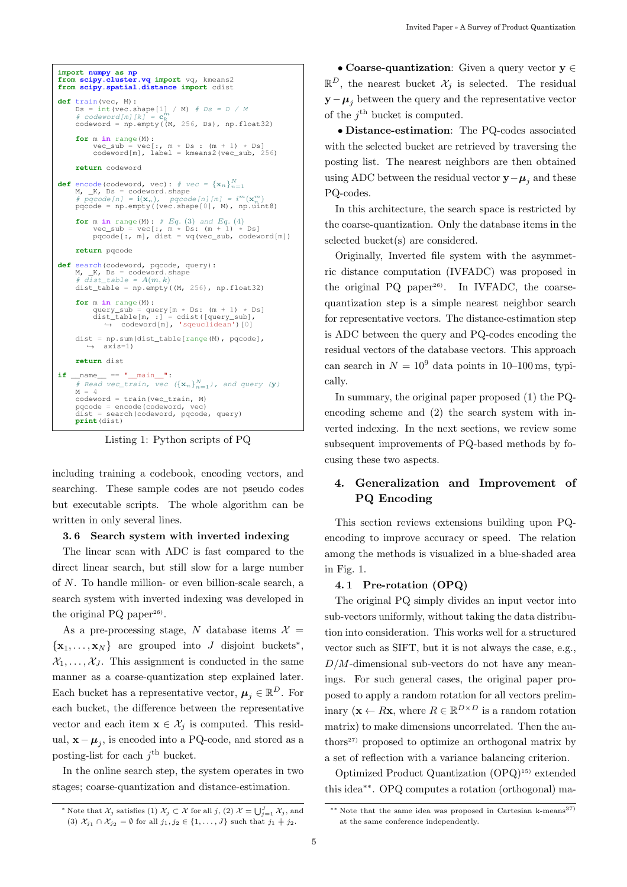```
import numpy as np from scipy.cluster.vq import vq, kmeans2 from scipy.spatial.distance import cdist
 def train(vec, M):<br>
DS = int(vec \: .shape[1] / M) # DS = D / M<br>
# codeword[m]/k) = c_k^mk codeword = np.empty((M, 256, Ds), np.float32)
        for m in range(M):
                vec\_sub = vec[:, m \times DS : (m + 1) \times DS]<br>codeword[m], label = kmeans2(vec_sub, 256)
        return codeword
def encode(codeword, vec): # vec = {\mathbf{x}_n}_{n=1}^Nencode (codeword, vec). \pi vec = \lambda n f_{n=1}<br>M, K, Ds = codeword.shape
        # \overline{pqcode[n]} = i(x_n), \overline{pqcode[n]}[m] = i^m(x_n^m)<br>pqcode = np.empty((vec.shape[0], M), np.uint8)
        for m in range(M): # Eq. (3) and Eq. (4)<br>vec_sub = vec[:, m * Ds: (m + 1) * Ds]<br>pqcode[:, m], dist = vq(vec_sub, codeword[m])
        return pqcode
def search(codeword, pqcode, query):
        M, _K, Ds = codeword.shape<br>
\# dist_table = A(m, k)<br>
dist_table = np.empty((M, 256), np.float32)
        for m in range(M):
                query_sub = query[m * Ds: (m + 1) * Ds]<br>dist_table[m, :] = cdist([query_sub],<br>→ codeword[m], 'sqeuclidean')[0]
        dist = np.sum(dist_table[range(M), pqcode],<br>
→ axis=1)
       return dist
if __name__ == "__main__":
        # Read vec_train, vec ({x_n}_{n=1}^N), and query (y)<br>M = 4<br>codeword = train(vec_train, M)
       pqcode = encode(codeword, vec) dist = search(codeword, pqcode, query)
       print(dist)
```
Listing 1: Python scripts of PQ

including training a codebook, encoding vectors, and searching. These sample codes are not pseudo codes but executable scripts. The whole algorithm can be written in only several lines.

### **3. 6 Search system with inverted indexing**

The linear scan with ADC is fast compared to the direct linear search, but still slow for a large number of N. To handle million- or even billion-scale search, a search system with inverted indexing was developed in the original  $PQ$  paper<sup>26)</sup>.

As a pre-processing stage, N database items  $\mathcal{X} =$  $\{x_1, \ldots, x_N\}$  are grouped into J disjoint buckets<sup>\*</sup>,  $\mathcal{X}_1,\ldots,\mathcal{X}_J$ . This assignment is conducted in the same manner as a coarse-quantization step explained later. Each bucket has a representative vector,  $\mu_j \in \mathbb{R}^D$ . For each bucket, the difference between the representative vector and each item  $\mathbf{x} \in \mathcal{X}_i$  is computed. This residual,  $\mathbf{x} - \boldsymbol{\mu}_i$ , is encoded into a PQ-code, and stored as a posting-list for each  $i^{\text{th}}$  bucket.

In the online search step, the system operates in two stages; coarse-quantization and distance-estimation.

• **Coarse-quantization**: Given a query vector **y** ∈  $\mathbb{R}^D$ , the nearest bucket  $\mathcal{X}_i$  is selected. The residual  $\mathbf{y} - \boldsymbol{\mu}_i$  between the query and the representative vector of the  $i^{\text{th}}$  bucket is computed.

• **Distance-estimation**: The PQ-codes associated with the selected bucket are retrieved by traversing the posting list. The nearest neighbors are then obtained using ADC between the residual vector  $\mathbf{y}-\boldsymbol{\mu}_i$  and these PQ-codes.

In this architecture, the search space is restricted by the coarse-quantization. Only the database items in the selected bucket(s) are considered.

Originally, Inverted file system with the asymmetric distance computation (IVFADC) was proposed in the original  $PQ$  paper<sup>26)</sup>. In IVFADC, the coarsequantization step is a simple nearest neighbor search for representative vectors. The distance-estimation step is ADC between the query and PQ-codes encoding the residual vectors of the database vectors. This approach can search in  $N = 10^9$  data points in 10–100 ms, typically.

In summary, the original paper proposed (1) the PQencoding scheme and (2) the search system with inverted indexing. In the next sections, we review some subsequent improvements of PQ-based methods by focusing these two aspects.

## **4. Generalization and Improvement of PQ Encoding**

This section reviews extensions building upon PQencoding to improve accuracy or speed. The relation among the methods is visualized in a blue-shaded area in Fig. 1.

### **4. 1 Pre-rotation (OPQ)**

The original PQ simply divides an input vector into sub-vectors uniformly, without taking the data distribution into consideration. This works well for a structured vector such as SIFT, but it is not always the case, e.g.,  $D/M$ -dimensional sub-vectors do not have any meanings. For such general cases, the original paper proposed to apply a random rotation for all vectors preliminary ( $\mathbf{x} \leftarrow R\mathbf{x}$ , where  $R \in \mathbb{R}^{D \times D}$  is a random rotation matrix) to make dimensions uncorrelated. Then the authors<sup>27)</sup> proposed to optimize an orthogonal matrix by a set of reflection with a variance balancing criterion.

Optimized Product Quantization (OPQ)15) extended this idea∗∗. OPQ computes a rotation (orthogonal) ma-

<sup>\*</sup> Note that  $\mathcal{X}_j$  satisfies (1)  $\mathcal{X}_j \subset \mathcal{X}$  for all  $j$ , (2)  $\mathcal{X} = \bigcup_{j=1}^J \mathcal{X}_j$ , and (3)  $\mathcal{X}_{j_1} \cap \mathcal{X}_{j_2} = \emptyset$  for all  $j_1, j_2 \in \{1, \ldots, J\}$  such that  $j_1 \neq j_2$ .

<sup>∗∗</sup> Note that the same idea was proposed in Cartesian k-means37) at the same conference independently.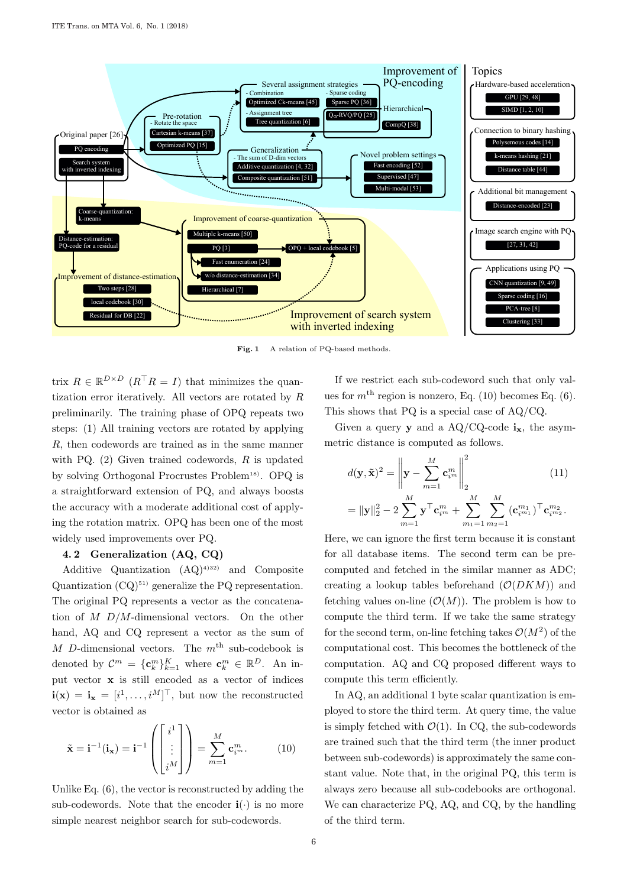

**Fig. 1** A relation of PQ-based methods.

trix  $R \in \mathbb{R}^{D \times D}$   $(R^{\top}R = I)$  that minimizes the quantization error iteratively. All vectors are rotated by  $R$ preliminarily. The training phase of OPQ repeats two steps: (1) All training vectors are rotated by applying R, then codewords are trained as in the same manner with PQ.  $(2)$  Given trained codewords, R is updated by solving Orthogonal Procrustes Problem<sup>18)</sup>. OPQ is a straightforward extension of PQ, and always boosts the accuracy with a moderate additional cost of applying the rotation matrix. OPQ has been one of the most widely used improvements over PQ.

### **4. 2 Generalization (AQ, CQ)**

Additive Quantization  $(AQ)^{4}$ <sup>32)</sup> and Composite Quantization  $(CQ)^{51}$  generalize the PQ representation. The original PQ represents a vector as the concatenation of  $M$  D/M-dimensional vectors. On the other hand, AQ and CQ represent a vector as the sum of M D-dimensional vectors. The  $m<sup>th</sup>$  sub-codebook is denoted by  $\mathcal{C}^m = {\{\mathbf{c}_k^m\}}_{k=1}^K$  where  $\mathbf{c}_k^m \in \mathbb{R}^D$ . An input vector **x** is still encoded as a vector of indices  $\mathbf{i}(\mathbf{x}) = \mathbf{i}_{\mathbf{x}} = [i^1, \dots, i^M]^\top$ , but now the reconstructed vector is obtained as

$$
\tilde{\mathbf{x}} = \mathbf{i}^{-1}(\mathbf{i}_{\mathbf{x}}) = \mathbf{i}^{-1} \left( \begin{bmatrix} i^1 \\ \vdots \\ i^M \end{bmatrix} \right) = \sum_{m=1}^M \mathbf{c}_i^m.
$$
 (10)

Unlike Eq. (6), the vector is reconstructed by adding the sub-codewords. Note that the encoder  $\mathbf{i}(\cdot)$  is no more simple nearest neighbor search for sub-codewords.

If we restrict each sub-codeword such that only values for  $m<sup>th</sup>$  region is nonzero, Eq. (10) becomes Eq. (6). This shows that PQ is a special case of AQ/CQ.

Given a query **y** and a  $AQ/CQ$ -code  $i_x$ , the asymmetric distance is computed as follows.

$$
d(\mathbf{y}, \tilde{\mathbf{x}})^2 = \left\| \mathbf{y} - \sum_{m=1}^M \mathbf{c}_{i^m}^m \right\|_2^2
$$
(11)  
=  $\|\mathbf{y}\|_2^2 - 2 \sum_{m=1}^M \mathbf{y}^\top \mathbf{c}_{i^m}^m + \sum_{m_1=1}^M \sum_{m_2=1}^M (\mathbf{c}_{i^{m_1}}^{m_1})^\top \mathbf{c}_{i^{m_2}}^{m_2}.$ 

Here, we can ignore the first term because it is constant for all database items. The second term can be precomputed and fetched in the similar manner as ADC; creating a lookup tables beforehand  $(\mathcal{O}(DKM))$  and fetching values on-line  $(\mathcal{O}(M))$ . The problem is how to compute the third term. If we take the same strategy for the second term, on-line fetching takes  $\mathcal{O}(M^2)$  of the computational cost. This becomes the bottleneck of the computation. AQ and CQ proposed different ways to compute this term efficiently.

In AQ, an additional 1 byte scalar quantization is employed to store the third term. At query time, the value is simply fetched with  $\mathcal{O}(1)$ . In CQ, the sub-codewords are trained such that the third term (the inner product between sub-codewords) is approximately the same constant value. Note that, in the original PQ, this term is always zero because all sub-codebooks are orthogonal. We can characterize PQ, AQ, and CQ, by the handling of the third term.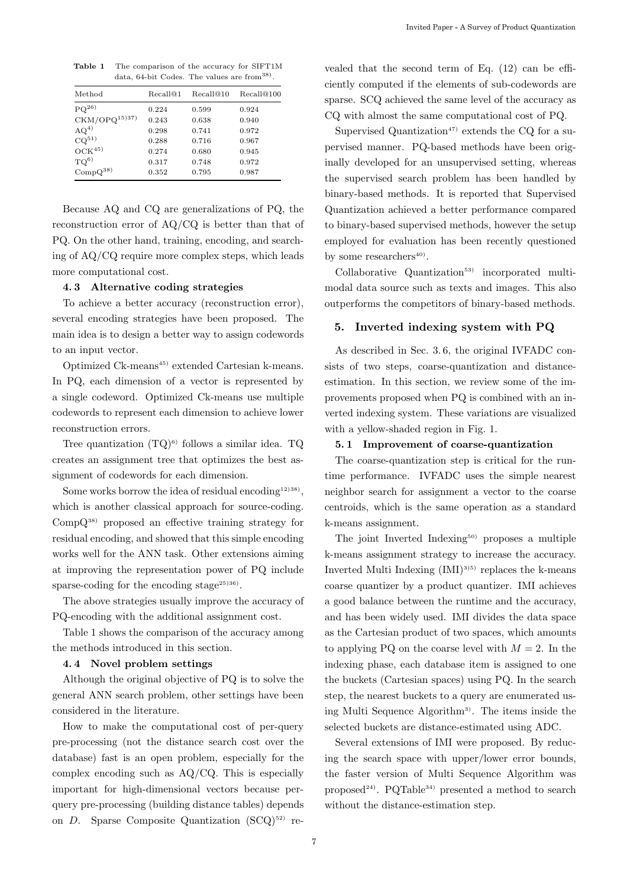**Table 1** The comparison of the accuracy for SIFT1M data, 64-bit Codes. The values are from<sup>38)</sup>

| Method                   | Recall@1 | Recall@10 | Recall@100 |
|--------------------------|----------|-----------|------------|
| ${\rm PQ^{26}}$          | 0.224    | 0.599     | 0.924      |
| CKM/OPQ <sup>15)37</sup> | 0.243    | 0.638     | 0.940      |
| $AQ^{4)}$                | 0.298    | 0.741     | 0.972      |
| $CQ^{51}$                | 0.288    | 0.716     | 0.967      |
| $OCK^{45}$               | 0.274    | 0.680     | 0.945      |
| TO <sup>6</sup>          | 0.317    | 0.748     | 0.972      |
| $CompQ^{38}$             | 0.352    | 0.795     | 0.987      |

Because AQ and CQ are generalizations of PQ, the reconstruction error of AQ/CQ is better than that of PQ. On the other hand, training, encoding, and searching of AQ/CQ require more complex steps, which leads more computational cost.

### **4. 3 Alternative coding strategies**

To achieve a better accuracy (reconstruction error), several encoding strategies have been proposed. The main idea is to design a better way to assign codewords to an input vector.

Optimized Ck-means<sup>45)</sup> extended Cartesian k-means. In PQ, each dimension of a vector is represented by a single codeword. Optimized Ck-means use multiple codewords to represent each dimension to achieve lower reconstruction errors.

Tree quantization  $(TQ)^{6}$  follows a similar idea.  $TQ$ creates an assignment tree that optimizes the best assignment of codewords for each dimension.

Some works borrow the idea of residual encoding<sup>12)38</sup>, which is another classical approach for source-coding. CompQ38) proposed an effective training strategy for residual encoding, and showed that this simple encoding works well for the ANN task. Other extensions aiming at improving the representation power of PQ include sparse-coding for the encoding stage<sup>25)36)</sup>.

The above strategies usually improve the accuracy of PQ-encoding with the additional assignment cost.

Table 1 shows the comparison of the accuracy among the methods introduced in this section.

### **4. 4 Novel problem settings**

Although the original objective of PQ is to solve the general ANN search problem, other settings have been considered in the literature.

How to make the computational cost of per-query pre-processing (not the distance search cost over the database) fast is an open problem, especially for the complex encoding such as AQ/CQ. This is especially important for high-dimensional vectors because perquery pre-processing (building distance tables) depends on  $D$ . Sparse Composite Quantization  $(SCQ)^{52}$  revealed that the second term of Eq. (12) can be efficiently computed if the elements of sub-codewords are sparse. SCQ achieved the same level of the accuracy as CQ with almost the same computational cost of PQ.

Supervised Quantization<sup>47)</sup> extends the CQ for a supervised manner. PQ-based methods have been originally developed for an unsupervised setting, whereas the supervised search problem has been handled by binary-based methods. It is reported that Supervised Quantization achieved a better performance compared to binary-based supervised methods, however the setup employed for evaluation has been recently questioned by some researchers<sup>40)</sup>.

 $Collaborative$   $Quantization<sup>53)</sup>$  incorporated multimodal data source such as texts and images. This also outperforms the competitors of binary-based methods.

### **5. Inverted indexing system with PQ**

As described in Sec. 3. 6, the original IVFADC consists of two steps, coarse-quantization and distanceestimation. In this section, we review some of the improvements proposed when PQ is combined with an inverted indexing system. These variations are visualized with a yellow-shaded region in Fig. 1.

#### **5. 1 Improvement of coarse-quantization**

The coarse-quantization step is critical for the runtime performance. IVFADC uses the simple nearest neighbor search for assignment a vector to the coarse centroids, which is the same operation as a standard k-means assignment.

The joint Inverted Indexing $50$  proposes a multiple k-means assignment strategy to increase the accuracy. Inverted Multi Indexing  $(IMI)^{35}$  replaces the k-means coarse quantizer by a product quantizer. IMI achieves a good balance between the runtime and the accuracy, and has been widely used. IMI divides the data space as the Cartesian product of two spaces, which amounts to applying PQ on the coarse level with  $M = 2$ . In the indexing phase, each database item is assigned to one the buckets (Cartesian spaces) using PQ. In the search step, the nearest buckets to a query are enumerated using Multi Sequence Algorithm3). The items inside the selected buckets are distance-estimated using ADC.

Several extensions of IMI were proposed. By reducing the search space with upper/lower error bounds, the faster version of Multi Sequence Algorithm was proposed<sup>24)</sup>. PQTable<sup>34)</sup> presented a method to search without the distance-estimation step.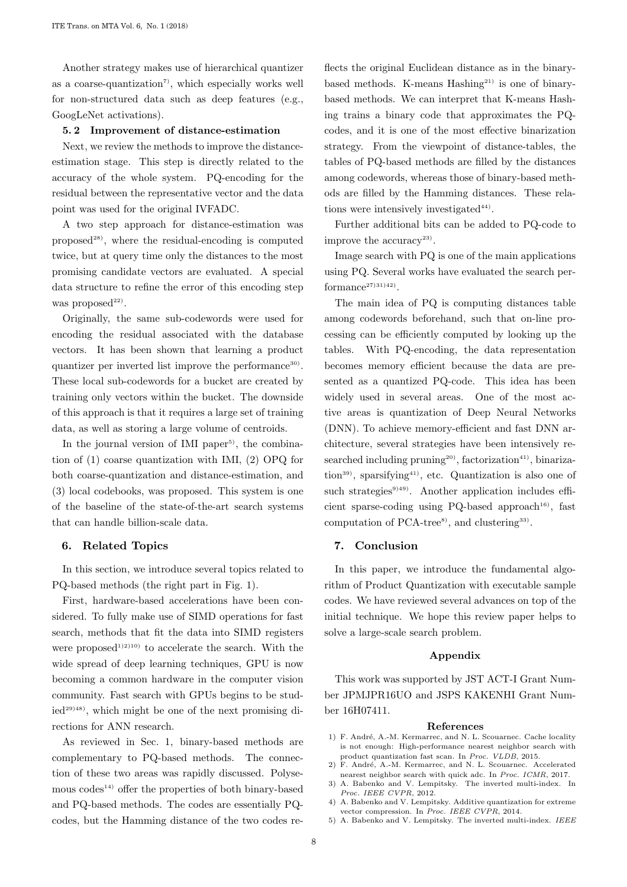Another strategy makes use of hierarchical quantizer as a coarse-quantization<sup> $\tau$ </sup>, which especially works well for non-structured data such as deep features (e.g., GoogLeNet activations).

#### **5. 2 Improvement of distance-estimation**

Next, we review the methods to improve the distanceestimation stage. This step is directly related to the accuracy of the whole system. PQ-encoding for the residual between the representative vector and the data point was used for the original IVFADC.

A two step approach for distance-estimation was proposed $^{28}$ , where the residual-encoding is computed twice, but at query time only the distances to the most promising candidate vectors are evaluated. A special data structure to refine the error of this encoding step was proposed $22$ .

Originally, the same sub-codewords were used for encoding the residual associated with the database vectors. It has been shown that learning a product quantizer per inverted list improve the performance<sup>30</sup>. These local sub-codewords for a bucket are created by training only vectors within the bucket. The downside of this approach is that it requires a large set of training data, as well as storing a large volume of centroids.

In the journal version of IMI paper<sup>5)</sup>, the combination of (1) coarse quantization with IMI, (2) OPQ for both coarse-quantization and distance-estimation, and (3) local codebooks, was proposed. This system is one of the baseline of the state-of-the-art search systems that can handle billion-scale data.

#### **6. Related Topics**

In this section, we introduce several topics related to PQ-based methods (the right part in Fig. 1).

First, hardware-based accelerations have been considered. To fully make use of SIMD operations for fast search, methods that fit the data into SIMD registers were proposed<sup>1)2)10</sup> to accelerate the search. With the wide spread of deep learning techniques, GPU is now becoming a common hardware in the computer vision community. Fast search with GPUs begins to be stud $ied^{29}$ <sup>48)</sup>, which might be one of the next promising directions for ANN research.

As reviewed in Sec. 1, binary-based methods are complementary to PQ-based methods. The connection of these two areas was rapidly discussed. Polysemous  $\mathrm{codes}^{(4)}$  offer the properties of both binary-based and PQ-based methods. The codes are essentially PQcodes, but the Hamming distance of the two codes reflects the original Euclidean distance as in the binarybased methods. K-means  $H$ ashing<sup>21)</sup> is one of binarybased methods. We can interpret that K-means Hashing trains a binary code that approximates the PQcodes, and it is one of the most effective binarization strategy. From the viewpoint of distance-tables, the tables of PQ-based methods are filled by the distances among codewords, whereas those of binary-based methods are filled by the Hamming distances. These relations were intensively investigated $44$ .

Further additional bits can be added to PQ-code to improve the  $\mathrm{accuracy}^{23}$ .

Image search with PQ is one of the main applications using PQ. Several works have evaluated the search per $formance<sup>27)31)42</sup>$ ).

The main idea of PQ is computing distances table among codewords beforehand, such that on-line processing can be efficiently computed by looking up the tables. With PQ-encoding, the data representation becomes memory efficient because the data are presented as a quantized PQ-code. This idea has been widely used in several areas. One of the most active areas is quantization of Deep Neural Networks (DNN). To achieve memory-efficient and fast DNN architecture, several strategies have been intensively researched including pruning<sup>20)</sup>, factorization<sup>41)</sup>, binarization<sup>39)</sup>, sparsifying<sup>41)</sup>, etc. Quantization is also one of such strategies<sup>9)49)</sup>. Another application includes efficient sparse-coding using PQ-based approach<sup>16)</sup>, fast computation of  $PCA-tree<sup>8</sup>$ , and clustering<sup>33)</sup>.

### **7. Conclusion**

In this paper, we introduce the fundamental algorithm of Product Quantization with executable sample codes. We have reviewed several advances on top of the initial technique. We hope this review paper helps to solve a large-scale search problem.

#### **Appendix**

This work was supported by JST ACT-I Grant Number JPMJPR16UO and JSPS KAKENHI Grant Number 16H07411.

#### **References**

- 1) F. André, A.-M. Kermarrec, and N. L. Scouarnec. Cache locality is not enough: High-performance nearest neighbor search with product quantization fast scan. In Proc. VLDB, 2015.
- 2) F. André, A.-M. Kermarrec, and N. L. Scouarnec. Accelerated nearest neighbor search with quick adc. In Proc. ICMR, 2017.
- 3) A. Babenko and V. Lempitsky. The inverted multi-index. In Proc. IEEE CVPR, 2012. 4) A. Babenko and V. Lempitsky. Additive quantization for extreme
- vector compression. In *Proc. IEEE CVPR*, 2014.
- 5) A. Babenko and V. Lempitsky. The inverted multi-index. IEEE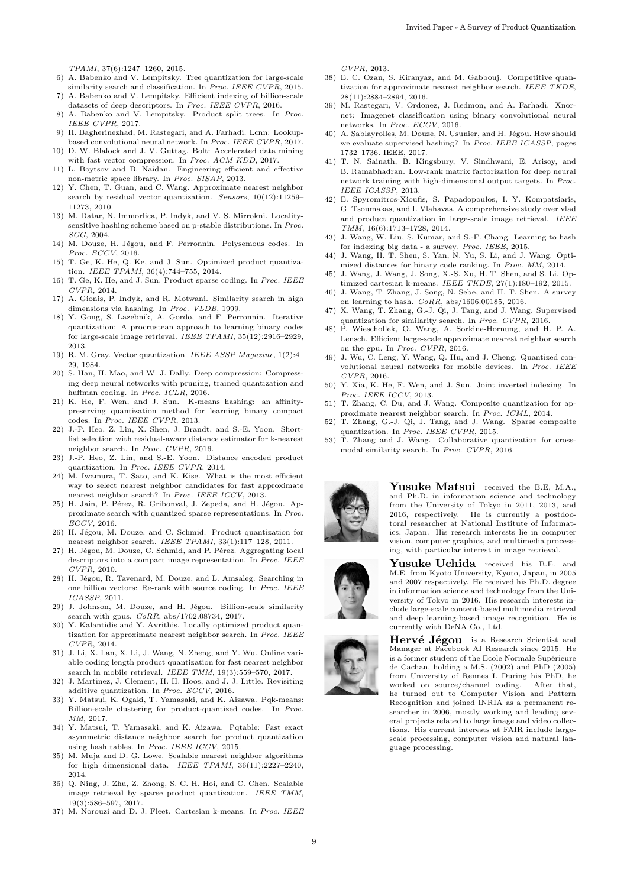- TPAMI, 37(6):1247–1260, 2015. 6) A. Babenko and V. Lempitsky. Tree quantization for large-scale similarity search and classification. In Proc. IEEE CVPR, 2015. 7) A. Babenko and V. Lempitsky. Efficient indexing of billion-scale
- datasets of deep descriptors. In Proc. IEEE CVPR, 2016.
- 8) A. Babenko and V. Lempitsky. Product split trees. In *Proc.*<br>IEEE CVPR. 2017. IEEE CVPR, 2017. 9) H. Bagherinezhad, M. Rastegari, and A. Farhadi. Lcnn: Lookup-
- based convolutional neural network. In Proc. IEEE CVPR, 2017.
- 10) D. W. Blalock and J. V. Guttag. Bolt: Accelerated data mining with fast vector compression. In *Proc. ACM KDD*, 2017.<br>11) L. Boytsov and B. Naidan. Engineering efficient and effective
- non-metric space library. In Proc. SISAP, 2013.
- 12) Y. Chen, T. Guan, and C. Wang. Approximate nearest neighbor search by residual vector quantization. Sensors, 10(12):11259– 11273, 2010.
- 13) M. Datar, N. Immorlica, P. Indyk, and V. S. Mirrokni. Localitysensitive hashing scheme based on p-stable distributions. In Proc. SCG, 2004.
- 14) M. Douze, H. Jégou, and F. Perronnin. Polysemous codes. In Proc. ECCV, 2016.
- 15) T. Ge, K. He, Q. Ke, and J. Sun. Optimized product quantization. IEEE TPAMI, 36(4):744–755, 2014.
- 16) T. Ge, K. He, and J. Sun. Product sparse coding. In  $Proc. \ IEEE$   $CVPR,$  2014. CVPR, 2014. 17) A. Gionis, P. Indyk, and R. Motwani. Similarity search in high
- dimensions via hashing. In Proc. VLDB, 1999.
- 18) Y. Gong, S. Lazebnik, A. Gordo, and F. Perronnin. Iterative quantization: A procrustean approach to learning binary codes for large-scale image retrieval. IEEE TPAMI, 35(12):2916–2929, 2013.
- 19) R. M. Gray. Vector quantization. IEEE ASSP Magazine, 1(2):4– 29, 1984.
- 20) S. Han, H. Mao, and W. J. Dally. Deep compression: Compressing deep neural networks with pruning, trained quantization and huffman coding. In Proc. ICLR, 2016.
- 21) K. He, F. Wen, and J. Sun. K-means hashing: an affinitypreserving quantization method for learning binary compact codes. In Proc. IEEE CVPR, 2013.
- 22) J.-P. Heo, Z. Lin, X. Shen, J. Brandt, and S.-E. Yoon. Shortlist selection with residual-aware distance estimator for k-nearest neighbor search. In Proc. CVPR, 2016.
- 23) J.-P. Heo, Z. Lin, and S.-E. Yoon. Distance encoded product quantization. In Proc. IEEE CVPR, 2014.
- 24) M. Iwamura, T. Sato, and K. Kise. What is the most efficient way to select nearest neighbor candidates for fast approximate nearest neighbor search? In Proc. IEEE ICCV, 2013.
- 25) H. Jain, P. Pérez, R. Gribonval, J. Zepeda, and H. Jégou. Approximate search with quantized sparse representations. In Proc. ECCV, 2016.
- 26) H. Jégou, M. Douze, and C. Schmid. Product quantization for nearest neighbor search. *IEEE TPAMI*, 33(1):117–128, 2011.<br>27) H. Jégou, M. Douze, C. Schmid, and P. Pérez. Aggregating local
- descriptors into a compact image representation. In Proc. IEEE CVPR, 2010.
- 28) H. Jégou, R. Tavenard, M. Douze, and L. Amsaleg. Searching in one billion vectors: Re-rank with source coding. In  $\mathit{Proc. IEEE ICASSP}.$  2011.
- ICASSP, 2011.<br>29) J. Johnson, M. Douze, and H. Jégou. Billion-scale similarity search with gpus.  $CoRR$ , abs/1702.08734, 2017.
- 30) Y. Kalantidis and Y. Avrithis. Locally optimized product quantization for approximate nearest neighbor search. In *Proc. IEEE*  $CVPR$ , 2014.
- CVPR, 2014. 31) J. Li, X. Lan, X. Li, J. Wang, N. Zheng, and Y. Wu. Online variable coding length product quantization for fast nearest neighbor earch in mobile retrieval. IEEE TMM,  $19(3):559-570$ ,  $2017$ .
- 32) J. Martinez, J. Clement, H. H. Hoos, and J. J. Little. Revisiting additive quantization. In Proc. ECCV, 2016.
- 33) Y. Matsui, K. Ogaki, T. Yamasaki, and K. Aizawa. Pqk-means: Billion-scale clustering for product-quantized codes. In *Proc.*  $MM$  2017
- MM, 2017. 34) Y. Matsui, T. Yamasaki, and K. Aizawa. Pqtable: Fast exact asymmetric distance neighbor search for product quantization using hash tables. In Proc. IEEE ICCV, 2015.
- 35) M. Muja and D. G. Lowe. Scalable nearest neighbor algorithms for high dimensional data. IEEE TPAMI, 36(11):2227–2240, 2014.
- 36) Q. Ning, J. Zhu, Z. Zhong, S. C. H. Hoi, and C. Chen. Scalable image retrieval by sparse product quantization. IEEE TMM, 19(3):586–597, 2017.
- 37) M. Norouzi and D. J. Fleet. Cartesian k-means. In Proc. IEEE

- CVPR, 2013. 38) E. C. Ozan, S. Kiranyaz, and M. Gabbouj. Competitive quantization for approximate nearest neighbor search. IEEE TKDE, 28(11):2884–2894, 2016.
- 39) M. Rastegari, V. Ordonez, J. Redmon, and A. Farhadi. Xnornet: Imagenet classification using binary convolutional neural networks. In *Proc. ECCV*, 2016.<br>40) A. Sablayrolles, M. Douze, N. Usunier, and H. Jégou. How should
- we evaluate supervised hashing? In Proc. IEEE ICASSP, pages 1732–1736. IEEE, 2017.
- 41) T. N. Sainath, B. Kingsbury, V. Sindhwani, E. Arisoy, and B. Ramabhadran. Low-rank matrix factorization for deep neural network training with high-dimensional output targets. In Proc. IEEE ICASSP, 2013.
- 42) E. Spyromitros-Xioufis, S. Papadopoulos, I. Y. Kompatsiaris, G. Tsoumakas, and I. Vlahavas. A comprehensive study over vlad and product quantization in large-scale image retrieval. IEEE  $TMM$  16(6):1713–1728 2014 TMM, 16(6):1713–1728, 2014. 43) J. Wang, W. Liu, S. Kumar, and S.-F. Chang. Learning to hash
- for indexing big data a survey. Proc. IEEE, 2015.
- 44) J. Wang, H. T. Shen, S. Yan, N. Yu, S. Li, and J. Wang. Optimized distances for binary code ranking. In Proc. MM, 2014.
- 45) J. Wang, J. Wang, J. Song, X.-S. Xu, H. T. Shen, and S. Li. Optimized cartesian k-means. IEEE TKDE, 27(1):180–192, 2015.
- 46) J. Wang, T. Zhang, J. Song, N. Sebe, and H. T. Shen. A survey on learning to hash. CoRR, abs/1606.00185, 2016.
- 47) X. Wang, T. Zhang, G.-J. Qi, J. Tang, and J. Wang. Supervised quantization for similarity search. In Proc. CVPR, 2016. 48) P. Wieschollek, O. Wang, A. Sorkine-Hornung, and H. P. A.
- Lensch. Efficient large-scale approximate nearest neighbor search on the gpu. In Proc. CVPR, 2016.
- 49) J. Wu, C. Leng, Y. Wang, Q. Hu, and J. Cheng. Quantized convolutional neural networks for mobile devices. In *Proc. IEEE*  $CVPR$ , 2016. CVPR, 2016. 50) Y. Xia, K. He, F. Wen, and J. Sun. Joint inverted indexing. In
- Proc. IEEE ICCV, 2013.<br>51) T. Zhang, C. Du, and J. Wang. Composite quantization for ap-
- proximate nearest neighbor search. In Proc. ICML, 2014.
- 52) T. Zhang, G.-J. Qi, J. Tang, and J. Wang. Sparse composite quantization. In Proc. IEEE CVPR, 2015.
- 53) T. Zhang and J. Wang. Collaborative quantization for crossmodal similarity search. In Proc. CVPR, 2016.



**Yusuke Matsui** received the B.E, M.A., and Ph.D. in information science and technology from the University of Tokyo in 2011, 2013, and 2016, respectively. He is currently a postdoctoral researcher at National Institute of Informatics, Japan. His research interests lie in computer vision, computer graphics, and multimedia processing, with particular interest in image retrieval.





Hervé Jégou is a Research Scientist and Manager at Facebook AI Research since 2015. He is a former student of the Ecole Normale Supérieure de Cachan, holding a M.S. (2002) and PhD (2005) from University of Rennes I. During his PhD, he worked on source/channel coding. After that, he turned out to Computer Vision and Pattern Recognition and joined INRIA as a permanent researcher in 2006, mostly working and leading several projects related to large image and video collections. His current interests at FAIR include largescale processing, computer vision and natural language processing.